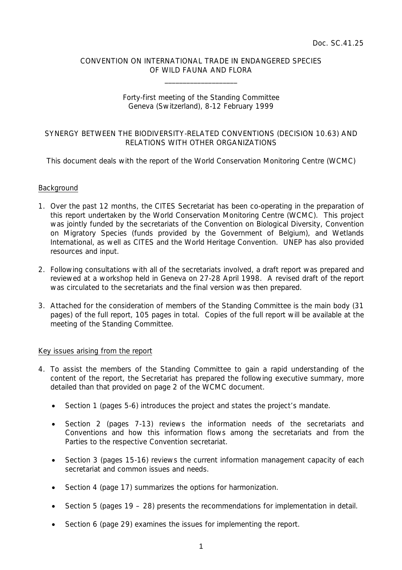## CONVENTION ON INTERNATIONAL TRADE IN ENDANGERED SPECIES OF WILD FAUNA AND FLORA

 $\overline{\phantom{a}}$  , which is a set of the set of the set of the set of the set of the set of the set of the set of the set of the set of the set of the set of the set of the set of the set of the set of the set of the set of th

# Forty-first meeting of the Standing Committee Geneva (Switzerland), 8-12 February 1999

# SYNERGY BETWEEN THE BIODIVERSITY-RELATED CONVENTIONS (DECISION 10.63) AND RELATIONS WITH OTHER ORGANIZATIONS

This document deals with the report of the World Conservation Monitoring Centre (WCMC)

### **Background**

- 1. Over the past 12 months, the CITES Secretariat has been co-operating in the preparation of this report undertaken by the World Conservation Monitoring Centre (WCMC). This project was jointly funded by the secretariats of the Convention on Biological Diversity, Convention on Migratory Species (funds provided by the Government of Belgium), and Wetlands International, as well as CITES and the World Heritage Convention. UNEP has also provided resources and input.
- 2. Following consultations with all of the secretariats involved, a draft report was prepared and reviewed at a workshop held in Geneva on 27-28 April 1998. A revised draft of the report was circulated to the secretariats and the final version was then prepared.
- 3. Attached for the consideration of members of the Standing Committee is the main body (31 pages) of the full report, 105 pages in total. Copies of the full report will be available at the meeting of the Standing Committee.

#### Key issues arising from the report

- 4. To assist the members of the Standing Committee to gain a rapid understanding of the content of the report, the Secretariat has prepared the following executive summary, more detailed than that provided on page 2 of the WCMC document.
	- Section 1 (pages 5-6) introduces the project and states the project's mandate.
	- Section 2 (pages 7-13) reviews the information needs of the secretariats and Conventions and how this information flows among the secretariats and from the Parties to the respective Convention secretariat.
	- Section 3 (pages 15-16) reviews the current information management capacity of each secretariat and common issues and needs.
	- Section 4 (page 17) summarizes the options for harmonization.
	- Section 5 (pages  $19 28$ ) presents the recommendations for implementation in detail.
	- Section 6 (page 29) examines the issues for implementing the report.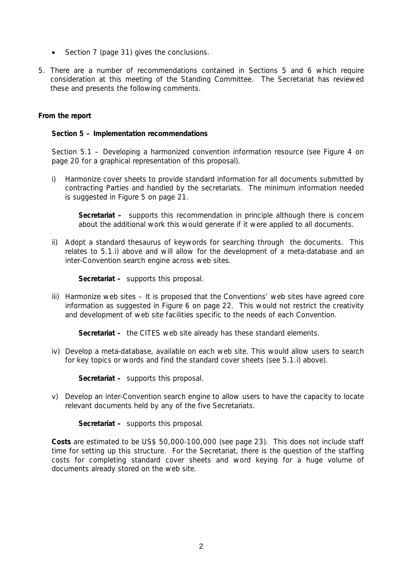- Section 7 (page 31) gives the conclusions.
- 5. There are a number of recommendations contained in Sections 5 and 6 which require consideration at this meeting of the Standing Committee. The Secretariat has reviewed these and presents the following comments.

## **From the report**

#### **Section 5 – Implementation recommendations**

*Section 5.1 – Developing a harmonized convention information resource* (see Figure 4 on page 20 for a graphical representation of this proposal).

i) Harmonize cover sheets to provide standard information for all documents submitted by contracting Parties and handled by the secretariats. The minimum information needed is suggested in Figure 5 on page 21.

**Secretariat –** supports this recommendation in principle although there is concern about the additional work this would generate if it were applied to all documents.

 ii) Adopt a standard thesaurus of keywords for searching through the documents. This relates to 5.1.i) above and will allow for the development of a meta-database and an inter-Convention search engine across web sites.

**Secretariat –** supports this proposal.

 iii) Harmonize web sites – It is proposed that the Conventions' web sites have agreed core information as suggested in Figure 6 on page 22. This would not restrict the creativity and development of web site facilities specific to the needs of each Convention.

**Secretariat –** the CITES web site already has these standard elements.

 iv) Develop a meta-database, available on each web site. This would allow users to search for key topics or words and find the standard cover sheets (see 5.1.i) above).

**Secretariat –** supports this proposal.

 v) Develop an inter-Convention search engine to allow users to have the capacity to locate relevant documents held by any of the five Secretariats.

**Secretariat –** supports this proposal.

**Costs** are estimated to be US\$ 50,000-100,000 (see page 23). This does not include staff time for setting up this structure. For the Secretariat, there is the question of the staffing costs for completing standard cover sheets and word keying for a huge volume of documents already stored on the web site.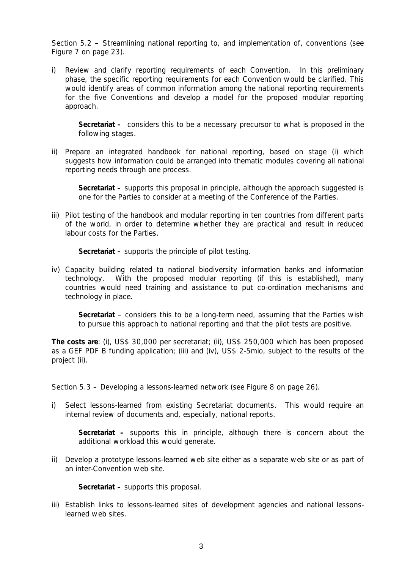*Section 5.2 – Streamlining national reporting to, and implementation of, conventions* (see Figure 7 on page 23).

 i) Review and clarify reporting requirements of each Convention. In this preliminary phase, the specific reporting requirements for each Convention would be clarified. This would identify areas of common information among the national reporting requirements for the five Conventions and develop a model for the proposed modular reporting approach.

**Secretariat –** considers this to be a necessary precursor to what is proposed in the following stages.

 ii) Prepare an integrated handbook for national reporting, based on stage (i) which suggests how information could be arranged into thematic modules covering all national reporting needs through one process.

**Secretariat –** supports this proposal in principle, although the approach suggested is one for the Parties to consider at a meeting of the Conference of the Parties.

iii) Pilot testing of the handbook and modular reporting in ten countries from different parts of the world, in order to determine whether they are practical and result in reduced labour costs for the Parties.

**Secretariat –** supports the principle of pilot testing.

 iv) Capacity building related to national biodiversity information banks and information technology. With the proposed modular reporting (if this is established), many countries would need training and assistance to put co-ordination mechanisms and technology in place.

**Secretariat** – considers this to be a long-term need, assuming that the Parties wish to pursue this approach to national reporting and that the pilot tests are positive.

**The costs are**: (i), US\$ 30,000 per secretariat; (ii), US\$ 250,000 which has been proposed as a GEF PDF B funding application; (iii) and (iv), US\$ 2-5mio, subject to the results of the project (ii).

*Section 5.3 – Developing a lessons-learned network* (see Figure 8 on page 26).

 i) Select lessons-learned from existing Secretariat documents. This would require an internal review of documents and, especially, national reports.

**Secretariat –** supports this in principle, although there is concern about the additional workload this would generate.

 ii) Develop a prototype lessons-learned web site either as a separate web site or as part of an inter-Convention web site.

**Secretariat –** supports this proposal.

 iii) Establish links to lessons-learned sites of development agencies and national lessonslearned web sites.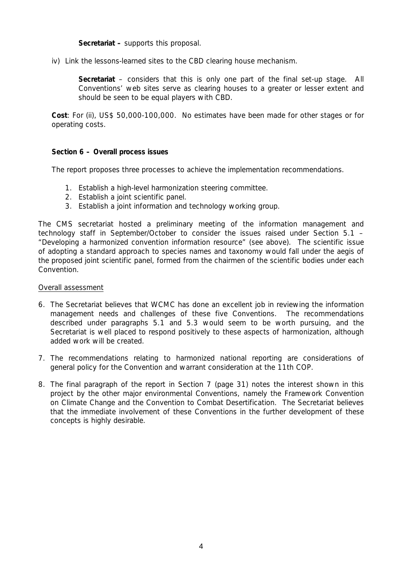**Secretariat –** supports this proposal.

iv) Link the lessons-learned sites to the CBD clearing house mechanism.

**Secretariat** – considers that this is only one part of the final set-up stage. All Conventions' web sites serve as clearing houses to a greater or lesser extent and should be seen to be equal players with CBD.

**Cost**: For (ii), US\$ 50,000-100,000. No estimates have been made for other stages or for operating costs.

# **Section 6 – Overall process issues**

The report proposes three processes to achieve the implementation recommendations.

- 1. Establish a high-level harmonization steering committee.
- 2. Establish a joint scientific panel.
- 3. Establish a joint information and technology working group.

The CMS secretariat hosted a preliminary meeting of the information management and technology staff in September/October to consider the issues raised under Section 5.1 – "Developing a harmonized convention information resource" (see above). The scientific issue of adopting a standard approach to species names and taxonomy would fall under the aegis of the proposed joint scientific panel, formed from the chairmen of the scientific bodies under each Convention.

## Overall assessment

- 6. The Secretariat believes that WCMC has done an excellent job in reviewing the information management needs and challenges of these five Conventions. The recommendations described under paragraphs 5.1 and 5.3 would seem to be worth pursuing, and the Secretariat is well placed to respond positively to these aspects of harmonization, although added work will be created.
- 7. The recommendations relating to harmonized national reporting are considerations of general policy for the Convention and warrant consideration at the 11th COP.
- 8. The final paragraph of the report in Section 7 (page 31) notes the interest shown in this project by the other major environmental Conventions, namely the Framework Convention on Climate Change and the Convention to Combat Desertification. The Secretariat believes that the immediate involvement of these Conventions in the further development of these concepts is highly desirable.